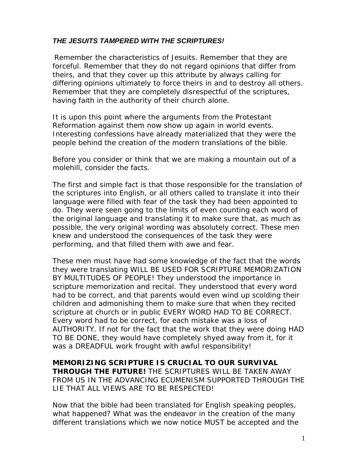## *THE JESUITS TAMPERED WITH THE SCRIPTURES!*

Remember the characteristics of Jesuits. Remember that they are forceful. Remember that they do not regard opinions that differ from theirs, and that they cover up this attribute by always calling for differing opinions ultimately to force theirs in and to destroy all others. Remember that they are completely disrespectful of the scriptures, having faith in the authority of their church alone.

It is upon this point where the arguments from the Protestant Reformation against them now show up again in world events. Interesting confessions have already materialized that they were the people behind the creation of the modern translations of the bible.

Before you consider or think that we are making a mountain out of a molehill, consider the facts.

The first and simple fact is that those responsible for the translation of the scriptures into English, or all others called to translate it into their language were filled with fear of the task they had been appointed to do. They were seen going to the limits of even counting each word of the original language and translating it to make sure that, as much as possible, the very original wording was absolutely correct. These men knew and understood the consequences of the task they were performing, and that filled them with awe and fear.

These men must have had some knowledge of the fact that the words they were translating WILL BE USED FOR SCRIPTURE MEMORIZATION BY MULTITUDES OF PEOPLE! They understood the importance in scripture memorization and recital. They understood that every word had to be correct, and that parents would even wind up scolding their children and admonishing them to make sure that when they recited scripture at church or in public EVERY WORD HAD TO BE CORRECT. Every word had to be correct, for each mistake was a loss of AUTHORITY. If not for the fact that the work that they were doing HAD TO BE DONE, they would have completely shyed away from it, for it was a DREADFUL work frought with awful responsibility!

**MEMORIZING SCRIPTURE IS CRUCIAL TO OUR SURVIVAL THROUGH THE FUTURE!** THE SCRIPTURES WILL BE TAKEN AWAY FROM US IN THE ADVANCING ECUMENISM SUPPORTED THROUGH THE LIE THAT ALL VIEWS ARE TO BE RESPECTED!

Now that the bible had been translated for English speaking peoples, what happened? What was the endeavor in the creation of the many different translations which we now notice MUST be accepted and the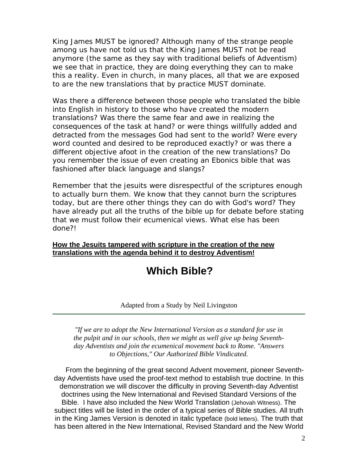King James MUST be ignored? Although many of the strange people among us have not told us that the King James MUST not be read anymore (the same as they say with traditional beliefs of Adventism) we see that in practice, they are doing everything they can to make this a reality. Even in church, in many places, all that we are exposed to are the new translations that by practice MUST dominate.

Was there a difference between those people who translated the bible into English in history to those who have created the modern translations? Was there the same fear and awe in realizing the consequences of the task at hand? or were things willfully added and detracted from the messages God had sent to the world? Were every word counted and desired to be reproduced exactly? or was there a different objective afoot in the creation of the new translations? Do you remember the issue of even creating an Ebonics bible that was fashioned after black language and slangs?

Remember that the jesuits were disrespectful of the scriptures enough to actually burn them. We know that they cannot burn the scriptures today, but are there other things they can do with God's word? They have already put all the truths of the bible up for debate before stating that we must follow their ecumenical views. What else has been done?!

## **How the Jesuits tampered with scripture in the creation of the new translations with the agenda behind it to destroy Adventism!**

## **Which Bible?**

## Adapted from a Study by Neil Livingston

*"If we are to adopt the New International Version as a standard for use in the pulpit and in our schools, then we might as well give up being Seventhday Adventists and join the ecumenical movement back to Rome. "Answers to Objections," Our Authorized Bible Vindicated.*

 From the beginning of the great second Advent movement, pioneer Seventhday Adventists have used the proof-text method to establish true doctrine. In this demonstration we will discover the difficulty in proving Seventh-day Adventist doctrines using the New International and Revised Standard Versions of the Bible. I have also included the New World Translation (Jehovah Witness). The subject titles will be listed in the order of a typical series of Bible studies. All truth in the King James Version is denoted in italic typeface (bold letters). The truth that has been altered in the New International, Revised Standard and the New World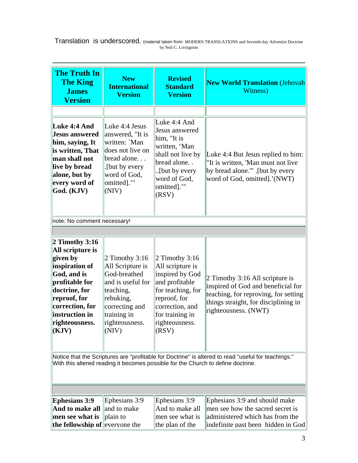Translation is underscored. (material taken from: MODERN TRANSLATIONS and Seventh-day Adventist Doctrine by Neil C. Livingston

| <b>The Truth In</b><br><b>The King</b><br><b>James</b><br><b>Version</b>                                                                                                                             | <b>New</b><br><b>International</b><br><b>Version</b>                                                                                                            | <b>Revised</b><br><b>Standard</b><br><b>Version</b>                                                                                                                           | <b>New World Translation (Jehovah</b><br>Witness)                                                                                                                             |
|------------------------------------------------------------------------------------------------------------------------------------------------------------------------------------------------------|-----------------------------------------------------------------------------------------------------------------------------------------------------------------|-------------------------------------------------------------------------------------------------------------------------------------------------------------------------------|-------------------------------------------------------------------------------------------------------------------------------------------------------------------------------|
|                                                                                                                                                                                                      |                                                                                                                                                                 |                                                                                                                                                                               |                                                                                                                                                                               |
| Luke 4:4 And<br>Jesus answered<br>him, saying, It<br>is written, That<br>man shall not<br>live by bread<br>alone, but by<br>every word of<br>God. (KJV)                                              | Luke 4:4 Jesus<br>answered, "It is<br>written: `Man<br>does not live on<br>bread alone<br>.[but by every<br>word of God,<br>omitted].'"<br>(NIV)                | Luke 4:4 And<br>Jesus answered<br>him, "It is<br>written, 'Man<br>shall not live by<br>bread alone<br>[but by every<br>word of God,<br>omitted].'"<br>(RSV)                   | Luke 4:4 But Jesus replied to him:<br>"It is written, 'Man must not live<br>by bread alone."" .[but by every<br>word of God, omitted].'(NWT)                                  |
| note: No comment necessary!                                                                                                                                                                          |                                                                                                                                                                 |                                                                                                                                                                               |                                                                                                                                                                               |
|                                                                                                                                                                                                      |                                                                                                                                                                 |                                                                                                                                                                               |                                                                                                                                                                               |
| $2$ Timothy 3:16<br>All scripture is<br>given by<br>inspiration of<br>God, and is<br>profitable for<br>doctrine, for<br>reproof, for<br>correction, for<br>instruction in<br>righteousness.<br>(KJV) | 2 Timothy $3:16$<br>All Scripture is<br>God-breathed<br>and is useful for<br>teaching,<br>rebuking,<br>correcting and<br>training in<br>righteousness.<br>(NIV) | 2 Timothy 3:16<br>All scripture is<br>inspired by God<br>and profitable<br>for teaching, for<br>reproof, for<br>correction, and<br>for training in<br>righteousness.<br>(RSV) | 2 Timothy 3:16 All scripture is<br>inspired of God and beneficial for<br>teaching, for reproving, for setting<br>things straight, for disciplining in<br>righteousness. (NWT) |
| Notice that the Scriptures are "profitable for Doctrine" is altered to read "useful for teachings."<br>With this altered reading it becomes possible for the Church to define doctrine.              |                                                                                                                                                                 |                                                                                                                                                                               |                                                                                                                                                                               |
|                                                                                                                                                                                                      |                                                                                                                                                                 |                                                                                                                                                                               |                                                                                                                                                                               |
| <b>Ephesians 3:9</b><br>And to make all<br>men see what is<br>the fellowship of everyone the                                                                                                         | Ephesians 3:9<br>and to make<br>plain to                                                                                                                        | Ephesians 3:9<br>And to make all<br>men see what is<br>the plan of the                                                                                                        | Ephesians 3:9 and should make<br>men see how the sacred secret is<br>administered which has from the<br>indefinite past been hidden in God                                    |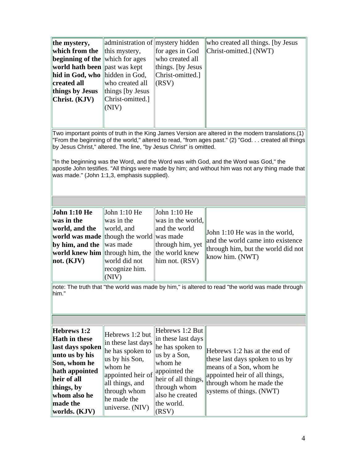| the mystery,                           | administration of mystery hidden |                    | who created all things. [by Jesus] |
|----------------------------------------|----------------------------------|--------------------|------------------------------------|
| which from the                         | this mystery,                    | for ages in God    | Christ-omitted.] (NWT)             |
| <b>beginning of the</b> which for ages |                                  | who created all    |                                    |
| <b>world hath been</b> past was kept   |                                  | things. [by Jesus] |                                    |
| hid in God, who hidden in God,         |                                  | Christ-omitted.]   |                                    |
| created all                            | who created all                  | $ $ (RSV)          |                                    |
| things by Jesus                        | things [by Jesus]                |                    |                                    |
| Christ. (KJV)                          | Christ-omitted.]                 |                    |                                    |
|                                        | (NIV)                            |                    |                                    |
|                                        |                                  |                    |                                    |
|                                        |                                  |                    |                                    |

Two important points of truth in the King James Version are altered in the modern translations.(1) "From the beginning of the world," altered to read, "from ages past." (2) "God. . . created all things by Jesus Christ," altered. The line, "by Jesus Christ" is omitted.

"In the beginning was the Word, and the Word was with God, and the Word was God," the apostle John testifies. "All things were made by him; and without him was not any thing made that was made." (John 1:1,3, emphasis supplied).

| John 1:10 He                             | John $1:10$ He | John $1:10$ He    |                                    |
|------------------------------------------|----------------|-------------------|------------------------------------|
| was in the                               | was in the     | was in the world, |                                    |
| world, and the                           | world, and     | and the world     | John 1:10 He was in the world,     |
| world was made though the world was made |                |                   | and the world came into existence  |
| by him, and the $\ $ was made            |                | through him, yet  | through him, but the world did not |
| <b>world knew him</b> through him, the   |                | the world knew    | know him. (NWT)                    |
| not. (KJV)                               | world did not  | him not. $(RSV)$  |                                    |
|                                          | recognize him. |                   |                                    |
|                                          | (NIV)          |                   |                                    |

note: The truth that "the world was made by him," is altered to read "the world was made through him."

| Hebrews 1:2<br>Hath in these<br> last days spoken <br>unto us by his<br>Son, whom he<br>hath appointed<br>heir of all<br>things, by<br>whom also he<br>made the<br>worlds. $(KJV)$ | Hebrews 1:2 but<br>in these last days<br>he has spoken to<br>us by his Son,<br>whom he<br>appointed heir of appointed the<br>all things, and<br>through whom<br>he made the<br>universe. (NIV) | Hebrews 1:2 But $ $<br>$\left  \text{in these last days} \right $<br>he has spoken to<br>us by a Son,<br>whom he<br>heir of all things,<br>through whom<br>also he created<br>the world.<br>(RSV) | Hebrews 1:2 has at the end of<br>these last days spoken to us by<br>means of a Son, whom he<br>appointed heir of all things,<br>through whom he made the<br>systems of things. (NWT) |
|------------------------------------------------------------------------------------------------------------------------------------------------------------------------------------|------------------------------------------------------------------------------------------------------------------------------------------------------------------------------------------------|---------------------------------------------------------------------------------------------------------------------------------------------------------------------------------------------------|--------------------------------------------------------------------------------------------------------------------------------------------------------------------------------------|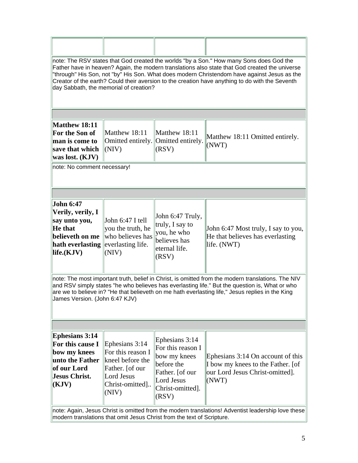| note: The RSV states that God created the worlds "by a Son." How many Sons does God the<br>Father have in heaven? Again, the modern translations also state that God created the universe<br>"through" His Son, not "by" His Son. What does modern Christendom have against Jesus as the<br>Creator of the earth? Could their aversion to the creation have anything to do with the Seventh<br>day Sabbath, the memorial of creation? |                                                                                                                             |                                                                                                                                 |                                                                                                                    |  |
|---------------------------------------------------------------------------------------------------------------------------------------------------------------------------------------------------------------------------------------------------------------------------------------------------------------------------------------------------------------------------------------------------------------------------------------|-----------------------------------------------------------------------------------------------------------------------------|---------------------------------------------------------------------------------------------------------------------------------|--------------------------------------------------------------------------------------------------------------------|--|
|                                                                                                                                                                                                                                                                                                                                                                                                                                       |                                                                                                                             |                                                                                                                                 |                                                                                                                    |  |
| <b>Matthew 18:11</b><br>For the Son of<br>man is come to<br>save that which<br>was lost. (KJV)                                                                                                                                                                                                                                                                                                                                        | Matthew 18:11<br>Omitted entirely.<br>(NIV)                                                                                 | Matthew 18:11<br>Omitted entirely.<br>(RSV)                                                                                     | Matthew 18:11 Omitted entirely.<br>(NWT)                                                                           |  |
| note: No comment necessary!                                                                                                                                                                                                                                                                                                                                                                                                           |                                                                                                                             |                                                                                                                                 |                                                                                                                    |  |
|                                                                                                                                                                                                                                                                                                                                                                                                                                       |                                                                                                                             |                                                                                                                                 |                                                                                                                    |  |
| John 6:47<br>Verily, verily, I<br>say unto you,<br><b>He that</b><br>believeth on me<br>hath everlasting<br>life.(KJV)                                                                                                                                                                                                                                                                                                                | John 6:47 I tell<br>you the truth, he<br>who believes has<br>everlasting life.<br>(NIV)                                     | John 6:47 Truly,<br>truly, I say to<br>you, he who<br>believes has<br>eternal life.<br>(RSV)                                    | John 6:47 Most truly, I say to you,<br>He that believes has everlasting<br>life. (NWT)                             |  |
| note: The most important truth, belief in Christ, is omitted from the modern translations. The NIV<br>and RSV simply states "he who believes has everlasting life." But the question is, What or who<br>are we to believe in? "He that believeth on me hath everlasting life," Jesus replies in the King<br>James Version. (John 6:47 KJV)                                                                                            |                                                                                                                             |                                                                                                                                 |                                                                                                                    |  |
| <b>Ephesians 3:14</b><br>For this cause I<br>bow my knees<br>unto the Father<br>of our Lord<br><b>Jesus Christ.</b><br>(KJV)                                                                                                                                                                                                                                                                                                          | Ephesians 3:14<br>For this reason I<br>kneel before the<br>Father. [of our<br><b>Lord Jesus</b><br>Christ-omitted]<br>(NIV) | Ephesians 3:14<br>For this reason I<br>bow my knees<br>before the<br>Father. [of our<br>Lord Jesus<br>Christ-omitted].<br>(RSV) | Ephesians 3:14 On account of this<br>I bow my knees to the Father. [of<br>our Lord Jesus Christ-omitted].<br>(NWT) |  |
| note: Again, Jesus Christ is omitted from the modern translations! Adventist leadership love these<br>modern translations that omit Jesus Christ from the text of Scripture.                                                                                                                                                                                                                                                          |                                                                                                                             |                                                                                                                                 |                                                                                                                    |  |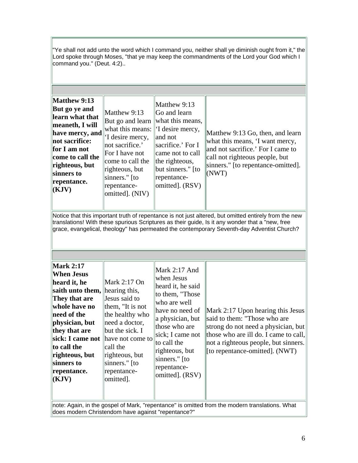"Ye shall not add unto the word which I command you, neither shall ye diminish ought from it," the Lord spoke through Moses, "that ye may keep the commandments of the Lord your God which I command you." (Deut. 4:2)..

Notice that this important truth of repentance is not just altered, but omitted entirely from the new translations! With these spurious Scriptures as their guide, Is it any wonder that a "new, free grace, evangelical, theology" has permeated the contemporary Seventh-day Adventist Church?

| <b>Mark 2:17</b><br>When Jesus<br>heard it, he<br>saith unto them, hearing this,<br>They that are<br> whole have no<br>need of the<br>physician, but<br>they that are<br> sick: I came not  <br>to call the<br>righteous, but<br>sinners to<br>repentance.<br>(KJV) | Mark 2:17 On<br>Jesus said to<br>them, "It is not<br>the healthy who<br>need a doctor,<br>but the sick. I<br>have not come to<br>call the<br>righteous, but<br>$\sin$ ners." $\int$ to<br>repentance-<br>omitted]. | Mark 2:17 And<br>when Jesus<br>heard it, he said<br>to them, "Those<br>who are well<br>have no need of<br>a physician, but<br>those who are<br>sick; I came not<br>to call the<br>righteous, but<br>sinners." [to<br>repentance-<br>omitted]. (RSV) | Mark 2:17 Upon hearing this Jesus<br>said to them: "Those who are<br>strong do not need a physician, but<br>those who are ill do. I came to call,<br>not a righteous people, but sinners.<br>[to repentance-omitted]. (NWT) |
|---------------------------------------------------------------------------------------------------------------------------------------------------------------------------------------------------------------------------------------------------------------------|--------------------------------------------------------------------------------------------------------------------------------------------------------------------------------------------------------------------|-----------------------------------------------------------------------------------------------------------------------------------------------------------------------------------------------------------------------------------------------------|-----------------------------------------------------------------------------------------------------------------------------------------------------------------------------------------------------------------------------|

note: Again, in the gospel of Mark, "repentance" is omitted from the modern translations. What does modern Christendom have against "repentance?"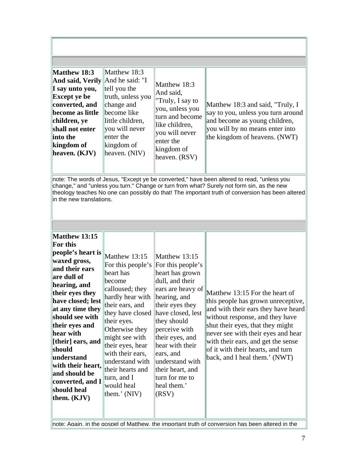| Matthew 18:3<br>And said, Verily And he said: "I<br>I say unto you,<br>Except ye be<br>converted, and<br>become as little<br>children, ye<br>shall not enter<br>linto the<br>kingdom of<br>heaven. (KJV) | Matthew 18:3<br>tell you the<br>truth, unless you<br>change and<br>become like<br>little children,<br>vou will never<br>enter the<br>kingdom of<br>heaven. (NIV) | Matthew 18:3<br>And said,<br>Truly, I say to<br>you, unless you<br>turn and become<br>like children,<br>vou will never<br>lenter the<br>kingdom of<br>heaven. $(RSV)$ | Matthew 18:3 and said, "Truly, I<br>say to you, unless you turn around<br>and become as young children,<br>you will by no means enter into<br>the kingdom of heavens. (NWT) |
|----------------------------------------------------------------------------------------------------------------------------------------------------------------------------------------------------------|------------------------------------------------------------------------------------------------------------------------------------------------------------------|-----------------------------------------------------------------------------------------------------------------------------------------------------------------------|-----------------------------------------------------------------------------------------------------------------------------------------------------------------------------|

note: The words of Jesus, "Except ye be converted," have been altered to read, "unless you change," and "unless you turn." Change or turn from what? Surely not form sin, as the new theology teaches No one can possibly do that! The important truth of conversion has been altered in the new translations.

note: Again, in the gospel of Matthew, the important truth of conversion has been altered in the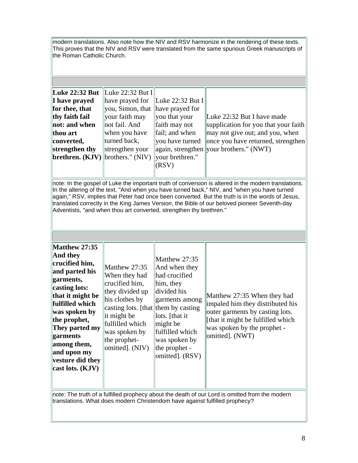modern translations. Also note how the NIV and RSV harmonize in the rendering of these texts. This proves that the NIV and RSV were translated from the same spurious Greek manuscripts of the Roman Catholic Church.

| have prayed for  |                 |                                                                                                                 |
|------------------|-----------------|-----------------------------------------------------------------------------------------------------------------|
|                  |                 |                                                                                                                 |
| your faith may   | you that your   | Luke 22:32 But I have made                                                                                      |
| not fail. And    | faith may not   | supplication for you that your faith                                                                            |
| when you have    |                 | may not give out; and you, when                                                                                 |
| turned back,     | vou have turned | once you have returned, strengthen                                                                              |
| strengthen your  |                 | $\alpha$ again, strengthen vour brothers." (NWT)                                                                |
| brothers." (NIV) |                 |                                                                                                                 |
|                  | (RSV)           |                                                                                                                 |
|                  |                 |                                                                                                                 |
|                  |                 | Luke $22:32$ But I<br>Luke 22:32 But I<br>you, Simon, that have prayed for<br>fail; and when<br>vour brethren." |

note: In the gospel of Luke the important truth of conversion is altered in the modern translations. In the altering of the text, "And when you have turned back," NIV, and "when you have turned again," RSV, implies that Peter had once been converted. But the truth is in the words of Jesus, translated correctly in the King James Version, the Bible of our beloved pioneer Seventh-day Adventists, "and when thou art converted, strengthen thy brethren."

note: The truth of a fulfilled prophecy about the death of our Lord is omitted from the modern translations. What does modern Christendom have against fulfilled prophecy?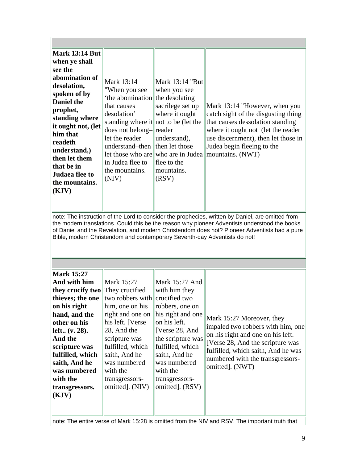note: The instruction of the Lord to consider the prophecies, written by Daniel, are omitted from the modern translations. Could this be the reason why pioneer Adventists understood the books of Daniel and the Revelation, and modern Christendom does not? Pioneer Adventists had a pure Bible, modern Christendom and contemporary Seventh-day Adventists do not!

| Mark 15:27<br>And with him<br>they crucify two<br>thieves; the one<br>on his right<br>hand, and the<br>other on his<br>$left. (v. 28). \right.$<br>And the<br>scripture was<br>fulfilled, which<br>saith, And he | Mark 15:27<br>They crucified<br>two robbers with<br>him, one on his<br>right and one on<br>his left. [Verse]<br>$ 28$ , And the<br>scripture was<br>fulfilled, which<br>saith, And he<br>was numbered | Mark 15:27 And<br>with him they<br>crucified two<br>robbers, one on<br>his right and one<br>lon his left.<br>[Verse 28, And<br>the scripture was<br>fulfilled, which<br>saith, And he<br>was numbered | Mark 15:27 Moreover, they<br>impaled two robbers with him, one<br>on his right and one on his left.<br>[Verse 28, And the scripture was<br>fulfilled, which saith, And he was<br>numbered with the transgressors- |
|------------------------------------------------------------------------------------------------------------------------------------------------------------------------------------------------------------------|-------------------------------------------------------------------------------------------------------------------------------------------------------------------------------------------------------|-------------------------------------------------------------------------------------------------------------------------------------------------------------------------------------------------------|-------------------------------------------------------------------------------------------------------------------------------------------------------------------------------------------------------------------|
| was numbered<br>with the<br>transgressors.<br>(KJV)                                                                                                                                                              | with the<br>transgressors-<br>omitted]. (NIV)                                                                                                                                                         | with the<br>transgressors-<br>omitted]. (RSV)                                                                                                                                                         | omitted]. (NWT)                                                                                                                                                                                                   |

note: The entire verse of Mark 15:28 is omitted from the NIV and RSV. The important truth that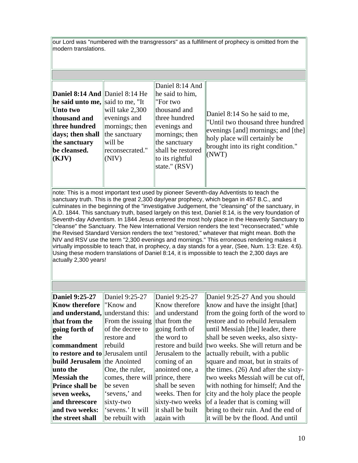our Lord was "numbered with the transgressors" as a fulfillment of prophecy is omitted from the modern translations.

| Daniel 8:14 And Daniel 8:14 He<br>$\ $ he said unto me, said to me, "It<br>Unto two<br>thousand and<br>three hundred<br>days; then shall<br>the sanctuary<br>be cleansed.<br>(KJV) | will take $2,300$<br>evenings and<br>mornings; then<br>the sanctuary<br>will be<br>reconsecrated."<br>(NIV) | Daniel 8:14 And<br>he said to him,<br>l"For two<br>thousand and<br>three hundred<br>evenings and<br>mornings; then<br>the sanctuary<br>shall be restored<br>to its rightful<br>state." $(RSV)$ | Daniel 8:14 So he said to me,<br>"Until two thousand three hundred<br>evenings [and] mornings; and [the]<br>holy place will certainly be<br>brought into its right condition."<br>(NWT) |
|------------------------------------------------------------------------------------------------------------------------------------------------------------------------------------|-------------------------------------------------------------------------------------------------------------|------------------------------------------------------------------------------------------------------------------------------------------------------------------------------------------------|-----------------------------------------------------------------------------------------------------------------------------------------------------------------------------------------|

note: This is a most important text used by pioneer Seventh-day Adventists to teach the sanctuary truth. This is the great 2,300 day/year prophecy, which began in 457 B.C., and culminates in the beginning of the "investigative Judgement, the "cleansing" of the sanctuary, in A.D. 1844. This sanctuary truth, based largely on this text, Daniel 8:14, is the very foundation of Seventh-day Adventism. In 1844 Jesus entered the most holy place in the Heavenly Sanctuary to "cleanse" the Sanctuary. The New International Version renders the text "reconsecrated," while the Revised Standard Version renders the text "restored," whatever that might mean. Both the NIV and RSV use the term "2,300 evenings and mornings." This erroneous rendering makes it virtually impossible to teach that, in prophecy, a day stands for a year, (See, Num. 1:3: Eze. 4:6). Using these modern translations of Daniel 8:14, it is impossible to teach the 2,300 days are actually 2,300 years!

| <b>Daniel 9:25-27</b>               | Daniel 9:25-27                  | Daniel 9:25-27    | Daniel 9:25-27 And you should          |
|-------------------------------------|---------------------------------|-------------------|----------------------------------------|
| Know therefore                      | "Know and                       | Know therefore    | know and have the insight [that]       |
| and understand, understand this:    |                                 | and understand    | from the going forth of the word to    |
| that from the                       | From the issuing                | that from the     | restore and to rebuild Jerusalem       |
| going forth of                      | of the decree to                | going forth of    | until Messiah [the] leader, there      |
| the                                 | restore and                     | the word to       | shall be seven weeks, also sixty-      |
| <b>commandment</b>                  | rebuild                         | restore and build | two weeks. She will return and be      |
| to restore and to Jerusalem until   |                                 | Jerusalem to the  | actually rebuilt, with a public        |
| <b>build Jerusalem</b> the Anointed |                                 | coming of an      | square and moat, but in straits of     |
| unto the                            | One, the ruler,                 | anointed one, a   | the times. $(26)$ And after the sixty- |
| Messiah the                         | comes, there will prince, there |                   | two weeks Messiah will be cut off,     |
| <b>Prince shall be</b>              | be seven                        | shall be seven    | with nothing for himself; And the      |
| seven weeks,                        | 'sevens,' and                   | weeks. Then for   | city and the holy place the people     |
| and threescore                      | $sixty-two$                     | sixty-two weeks   | of a leader that is coming will        |
| and two weeks:                      | 'sevens.' It will               | it shall be built | bring to their ruin. And the end of    |
| the street shall                    | be rebuilt with                 | again with        | it will be by the flood. And until     |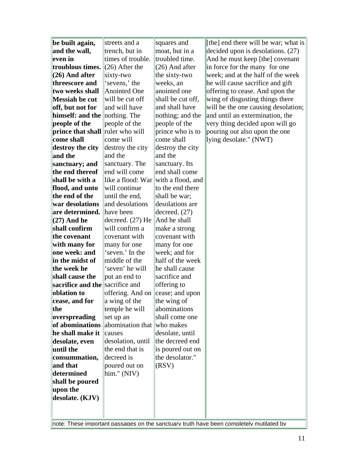| be built again,                                                | streets and a                       | squares and                    | [the] end there will be war; what is |
|----------------------------------------------------------------|-------------------------------------|--------------------------------|--------------------------------------|
| and the wall,                                                  | trench, but in                      | moat, but in a                 | decided upon is desolations. (27)    |
| even in                                                        | times of trouble.                   | troubled time.                 | And he must keep [the] covenant      |
| troublous times.                                               | $(26)$ After the                    | $(26)$ And after               | in force for the many for one        |
| $(26)$ And after                                               | sixty-two                           | the sixty-two                  | week; and at the half of the week    |
| threescore and                                                 | 'sevens,' the                       | weeks, an                      | he will cause sacrifice and gift     |
| two weeks shall                                                | <b>Anointed One</b>                 | anointed one                   | offering to cease. And upon the      |
| Messiah be cut                                                 | will be cut off                     | shall be cut off,              | wing of disgusting things there      |
| off, but not for                                               | and will have                       | and shall have                 | will be the one causing desolation;  |
| $\left  \text{himself:} \right. \text{and the} \left  \right.$ | nothing. The                        | nothing; and the               | and until an extermination, the      |
| people of the                                                  | people of the                       | people of the                  | very thing decided upon will go      |
| prince that shall                                              | ruler who will                      | prince who is to               | pouring out also upon the one        |
| come shall                                                     | come will                           | come shall                     | lying desolate." (NWT)               |
| destroy the city                                               | destroy the city                    | destroy the city               |                                      |
| and the                                                        | land the                            | and the                        |                                      |
| sanctuary; and                                                 | sanctuary. The                      | sanctuary. Its                 |                                      |
| the end thereof                                                | lend will come                      | end shall come                 |                                      |
| shall be with a                                                | like a flood: War with a flood, and |                                |                                      |
| flood, and unto                                                | will continue                       | to the end there               |                                      |
| the end of the                                                 | until the end,                      | shall be war;                  |                                      |
| <b>war desolations</b>                                         | and desolations                     | desolations are                |                                      |
| are determined.                                                | have been                           | decreed. $(27)$                |                                      |
| $(27)$ And he                                                  | decreed. $(27)$ He                  | And he shall                   |                                      |
| shall confirm                                                  | will confirm a                      | make a strong<br>covenant with |                                      |
| the covenant                                                   | covenant with                       |                                |                                      |
| with many for<br>one week: and                                 | many for one<br>'seven.' In the     | many for one<br>week; and for  |                                      |
| in the midst of                                                | middle of the                       | half of the week               |                                      |
| the week he                                                    | 'seven' he will                     | he shall cause                 |                                      |
| shall cause the                                                | put an end to                       | sacrifice and                  |                                      |
| sacrifice and the sacrifice and                                |                                     | offering to                    |                                      |
| oblation to                                                    | offering. And on cease; and upon    |                                |                                      |
| cease, and for                                                 | a wing of the                       | the wing of                    |                                      |
| the                                                            | temple he will                      | abominations                   |                                      |
| overspreading                                                  | set up an                           | shall come one                 |                                      |
| of abominations                                                | abomination that                    | who makes                      |                                      |
| he shall make it                                               | causes                              | desolate, until                |                                      |
| desolate, even                                                 | desolation, until                   | the decreed end                |                                      |
| until the                                                      | the end that is                     | is poured out on               |                                      |
| consummation,                                                  | decreed is                          | the desolator."                |                                      |
| and that                                                       | poured out on                       | (RSV)                          |                                      |
| determined                                                     | him." (NIV)                         |                                |                                      |
| shall be poured                                                |                                     |                                |                                      |
| upon the                                                       |                                     |                                |                                      |
| desolate. (KJV)                                                |                                     |                                |                                      |
|                                                                |                                     |                                |                                      |
|                                                                |                                     |                                |                                      |

note: These important passages on the sanctuary truth have been completely mutilated by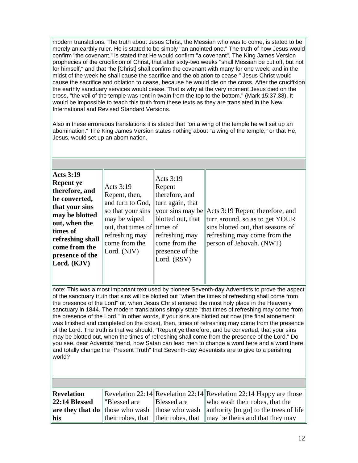modern translations. The truth about Jesus Christ, the Messiah who was to come, is stated to be merely an earthly ruler. He is stated to be simply "an anointed one." The truth of how Jesus would confirm "the covenant," is stated that He would confirm "a covenant". The King James Version prophecies of the crucifixion of Christ, that after sixty-two weeks "shall Messiah be cut off, but not for himself," and that "he [Christ] shall confirm the covenant with many for one week: and in the midst of the week he shall cause the sacrifice and the oblation to cease." Jesus Christ would cause the sacrifice and oblation to cease, because he would die on the cross. After the crucifixion the earthly sanctuary services would cease. That is why at the very moment Jesus died on the cross, "the veil of the temple was rent in twain from the top to the bottom." (Mark 15:37,38). It would be impossible to teach this truth from these texts as they are translated in the New International and Revised Standard Versions.

Also in these erroneous translations it is stated that "on a wing of the temple he will set up an abomination." The King James Version states nothing about "a wing of the temple," or that He, Jesus, would set up an abomination.

| <b>Acts 3:19</b><br><b>Repent</b> ye<br>therefore, and<br>be converted,<br>that your sins<br>may be blotted<br>out, when the<br>times of<br>refreshing shall<br>come from the<br>presence of the<br>Lord. (KJV) | Acts $3:19$<br>Repent, then,<br>and turn to God,<br>so that your sins<br>may be wiped<br>out, that times of times of<br>refreshing may<br>come from the<br>Lord. (NIV) | Acts 3:19<br>Repent<br>therefore, and<br>turn again, that<br>vour sins may be<br>blotted out, that<br>refreshing may<br>come from the<br>presence of the<br>Lord. (RSV) | Acts 3:19 Repent therefore, and<br>turn around, so as to get YOUR<br>sins blotted out, that seasons of<br>refreshing may come from the<br>person of Jehovah. (NWT) |
|-----------------------------------------------------------------------------------------------------------------------------------------------------------------------------------------------------------------|------------------------------------------------------------------------------------------------------------------------------------------------------------------------|-------------------------------------------------------------------------------------------------------------------------------------------------------------------------|--------------------------------------------------------------------------------------------------------------------------------------------------------------------|

note: This was a most important text used by pioneer Seventh-day Adventists to prove the aspect of the sanctuary truth that sins will be blotted out "when the times of refreshing shall come from the presence of the Lord" or, when Jesus Christ entered the most holy place in the Heavenly sanctuary in 1844. The modern translations simply state "that times of refreshing may come from the presence of the Lord." In other words, if your sins are blotted out now (the final atonement was finished and completed on the cross), then, times of refreshing may come from the presence of the Lord. The truth is that we should; "Repent ye therefore, and be converted, that your sins may be blotted out, when the times of refreshing shall come from the presence of the Lord." Do you see, dear Adventist friend, how Satan can lead men to change a word here and a word there, and totally change the "Present Truth" that Seventh-day Adventists are to give to a perishing world?

| Revelation            |                |                    | Revelation 22:14 Revelation 22:14 Revelation 22:14 Happy are those                           |
|-----------------------|----------------|--------------------|----------------------------------------------------------------------------------------------|
| $\vert$ 22:14 Blessed | l''Blessed are | <b>Blessed</b> are | who wash their robes, that the                                                               |
|                       |                |                    | <b>are they that do</b> those who wash those who wash authority [to go] to the trees of life |
| his                   |                |                    | their robes, that their robes, that $\lim_{x \to a}$ theirs and that they may                |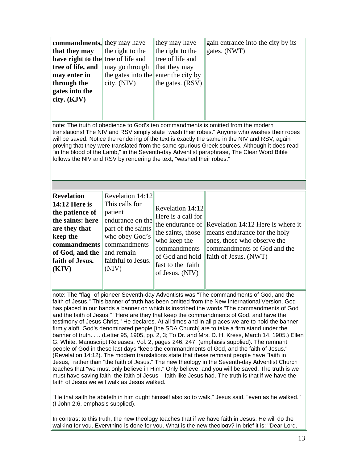| <b>commandments,</b> they may have |                                      | they may have      | gain entrance into the city by its |
|------------------------------------|--------------------------------------|--------------------|------------------------------------|
| that they may                      | the right to the                     | the right to the   | gates. (NWT)                       |
| have right to the tree of life and |                                      | tree of life and   |                                    |
| tree of life, and                  | $\parallel$ may go through           | that they may      |                                    |
| may enter in                       | the gates into the enter the city by |                    |                                    |
| through the                        | $\vert$ city. (NIV)                  | the gates. $(RSV)$ |                                    |
| gates into the                     |                                      |                    |                                    |
| $\vert$ city. (KJV)                |                                      |                    |                                    |
|                                    |                                      |                    |                                    |
|                                    |                                      |                    |                                    |

note: The truth of obedience to God's ten commandments is omitted from the modern translations! The NIV and RSV simply state "wash their robes." Anyone who washes their robes will be saved. Notice the rendering of the text is exactly the same in the NIV and RSV, again proving that they were translated from the same spurious Greek sources. Although it does read "in the blood of the Lamb," in the Seventh-day Adventist paraphrase, The Clear Word Bible follows the NIV and RSV by rendering the text, "washed their robes."

| <b>Revelation</b><br>$ 14:12$ Here is<br>the patience of<br>the saints: here                    | Revelation $14:12$<br>This calls for<br>patient<br>endurance on the                               | Revelation $14:12$<br>Here is a call for                                                  | the endurance of Revelation 14:12 Here is where it                                                                                    |
|-------------------------------------------------------------------------------------------------|---------------------------------------------------------------------------------------------------|-------------------------------------------------------------------------------------------|---------------------------------------------------------------------------------------------------------------------------------------|
| are they that<br>keep the<br><b>commandments</b><br>of God, and the<br>faith of Jesus.<br>(KJV) | part of the saints<br>who obey God's<br>commandments<br>and remain<br>faithful to Jesus.<br>(NIV) | who keep the<br>commandments<br>of God and hold<br>fast to the faith<br>of Jesus. $(NIV)$ | the saints, those means endurance for the holy<br>ones, those who observe the<br>commandments of God and the<br>faith of Jesus. (NWT) |

note: The "flag" of pioneer Seventh-day Adventists was "The commandments of God, and the faith of Jesus." This banner of truth has been omitted from the New International Version. God has placed in our hands a banner on which is inscribed the words "The commandments of God and the faith of Jesus." "Here are they that keep the commandments of God, and have the testimony of Jesus Christ," He declares. At all times and in all places we are to hold the banner firmly aloft. God's denominated people [the SDA Church] are to take a firm stand under the banner of truth. . .. (Letter 95, 1905, pp. 2, 3; To Dr. and Mrs. D. H. Kress, March 14, 1905.) Ellen G. White, Manuscript Releases, Vol. 2, pages 246, 247. (emphasis supplied). The remnant people of God in these last days "keep the commandments of God, and the faith of Jesus." (Revelation 14:12). The modern translations state that these remnant people have "faith in Jesus," rather than "the faith of Jesus." The new theology in the Seventh-day Adventist Church teaches that "we must only believe in Him." Only believe, and you will be saved. The truth is we must have saving faith–the faith of Jesus – faith like Jesus had. The truth is that if we have the faith of Jesus we will walk as Jesus walked.

"He that saith he abideth in him ought himself also so to walk," Jesus said, "even as he walked." (I John 2:6, emphasis supplied).

In contrast to this truth, the new theology teaches that if we have faith in Jesus, He will do the walking for you. Everything is done for you. What is the new theology? In brief it is: "Dear Lord,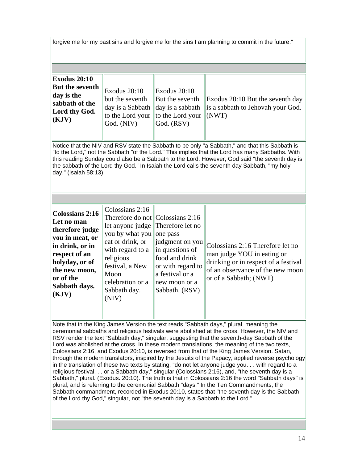forgive me for my past sins and forgive me for the sins I am planning to commit in the future."

| <b>Exodus 20:10</b><br><b>But the seventh</b><br>day is the<br>sabbath of the<br>Lord thy God.<br>(KJV)                                                                                                                                                                                                                                                                                                                                                                                                                                                                                                                                                                                      | Exodus 20:10<br>but the seventh<br>day is a Sabbath<br>to the Lord your<br>God. (NIV)                                                                                                                                                            | Exodus 20:10<br>But the seventh<br>day is a sabbath<br>to the Lord your<br>God. (RSV)                                                                           | Exodus 20:10 But the seventh day<br>is a sabbath to Jehovah your God.<br>(NWT)                                                                                       |  |  |
|----------------------------------------------------------------------------------------------------------------------------------------------------------------------------------------------------------------------------------------------------------------------------------------------------------------------------------------------------------------------------------------------------------------------------------------------------------------------------------------------------------------------------------------------------------------------------------------------------------------------------------------------------------------------------------------------|--------------------------------------------------------------------------------------------------------------------------------------------------------------------------------------------------------------------------------------------------|-----------------------------------------------------------------------------------------------------------------------------------------------------------------|----------------------------------------------------------------------------------------------------------------------------------------------------------------------|--|--|
| Notice that the NIV and RSV state the Sabbath to be only "a Sabbath," and that this Sabbath is<br>"to the Lord," not the Sabbath "of the Lord." This implies that the Lord has many Sabbaths. With<br>this reading Sunday could also be a Sabbath to the Lord. However, God said "the seventh day is<br>the sabbath of the Lord thy God." In Isaiah the Lord calls the seventh day Sabbath, "my holy<br>day." (Isaiah 58:13).                                                                                                                                                                                                                                                                |                                                                                                                                                                                                                                                  |                                                                                                                                                                 |                                                                                                                                                                      |  |  |
|                                                                                                                                                                                                                                                                                                                                                                                                                                                                                                                                                                                                                                                                                              |                                                                                                                                                                                                                                                  |                                                                                                                                                                 |                                                                                                                                                                      |  |  |
| <b>Colossians 2:16</b><br>Let no man<br>therefore judge<br>you in meat, or<br>in drink, or in<br>respect of an<br>holyday, or of<br>the new moon,<br>or of the<br>Sabbath days.<br>(KJV)                                                                                                                                                                                                                                                                                                                                                                                                                                                                                                     | $\big  \text{Colossians} \ 2:16 \big $<br>Therefore do not Colossians $2:16$<br>let anyone judge<br>you by what you<br>eat or drink, or<br>with regard to a<br>religious<br>festival, a New<br>Moon<br>celebration or a<br>Sabbath day.<br>(NIV) | Therefore let no<br>one pass<br>judgment on you<br>in questions of<br>food and drink<br>or with regard to<br>a festival or a<br>new moon or a<br>Sabbath. (RSV) | Colossians 2:16 Therefore let no<br>man judge YOU in eating or<br>drinking or in respect of a festival<br>of an observance of the new moon<br>or of a Sabbath; (NWT) |  |  |
| Note that in the King James Version the text reads "Sabbath days," plural, meaning the<br>ceremonial sabbaths and religious festivals were abolished at the cross. However, the NIV and<br>RSV render the text "Sabbath day," singular, suggesting that the seventh-day Sabbath of the<br>Lord was abolished at the cross. In these modern translations, the meaning of the two texts,<br>Colossians 2:16, and Exodus 20:10, is reversed from that of the King James Version. Satan,<br>through the modern translators, inspired by the Jesuits of the Papacy, applied reverse psychology<br>in the translation of these two texts by stating, "do not let anyone judge you with regard to a |                                                                                                                                                                                                                                                  |                                                                                                                                                                 |                                                                                                                                                                      |  |  |

religious festival. . . or a Sabbath day," singular (Colossians 2:16), and, "the seventh day is a Sabbath," plural. (Exodus. 20:10). The truth is that in Colossians 2:16 the word "Sabbath days" is plural, and is referring to the ceremonial Sabbath "days." In the Ten Commandments, the Sabbath commandment, recorded in Exodus 20:10, states that "the seventh day is the Sabbath of the Lord thy God," singular, not "the seventh day is a Sabbath to the Lord."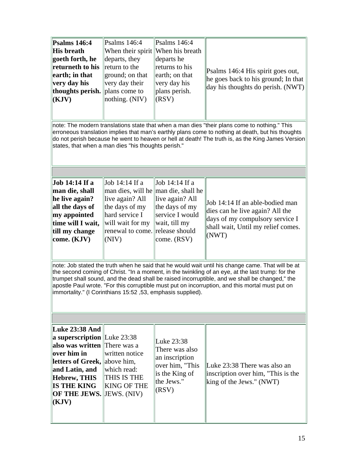| Psalms $146:4$<br>His breath<br>goeth forth, he<br>returneth to his<br>earth; in that<br>very day his<br>thoughts perish.<br>(KJV) | Psalms $146:4$<br>departs, they<br>return to the<br>ground; on that<br>very day their<br>plans come to<br>nothing. $(NIV)$ | Psalms $146:4$<br>When their spirit When his breath<br>departs he<br>returns to his<br>earth; on that<br>very day his<br>plans perish.<br>(RSV) | Psalms 146:4 His spirit goes out,<br>he goes back to his ground; In that<br>day his thoughts do perish. $(NWT)$ |
|------------------------------------------------------------------------------------------------------------------------------------|----------------------------------------------------------------------------------------------------------------------------|-------------------------------------------------------------------------------------------------------------------------------------------------|-----------------------------------------------------------------------------------------------------------------|
|------------------------------------------------------------------------------------------------------------------------------------|----------------------------------------------------------------------------------------------------------------------------|-------------------------------------------------------------------------------------------------------------------------------------------------|-----------------------------------------------------------------------------------------------------------------|

note: The modern translations state that when a man dies "their plans come to nothing." This erroneous translation implies that man's earthly plans come to nothing at death, but his thoughts do not perish because he went to heaven or hell at death! The truth is, as the King James Version states, that when a man dies "his thoughts perish."

| Job 14:14 If a<br>man die, shall<br>he live again?<br>all the days of<br>my appointed<br>time will I wait,<br>till my change<br>come. $(KJV)$ | Job 14:14 If a<br>man dies, will he man die, shall he<br>live again? All<br>the days of my<br>hard service I<br>will wait for my<br>renewal to come. release should<br>(NIV) | Job $14:14$ If a<br>live again? All<br>the days of my<br>service I would<br>wait, till my<br>come. $(RSV)$ | Job 14:14 If an able-bodied man<br>dies can he live again? All the<br>days of my compulsory service I<br>shall wait, Until my relief comes.<br>(NWT) |
|-----------------------------------------------------------------------------------------------------------------------------------------------|------------------------------------------------------------------------------------------------------------------------------------------------------------------------------|------------------------------------------------------------------------------------------------------------|------------------------------------------------------------------------------------------------------------------------------------------------------|

note: Job stated the truth when he said that he would wait until his change came. That will be at the second coming of Christ. "In a moment, in the twinkling of an eye, at the last trump: for the trumpet shall sound, and the dead shall be raised incorruptible, and we shall be changed," the apostle Paul wrote. "For this corruptible must put on incorruption, and this mortal must put on immortality." (I Corinthians 15:52 ,53, emphasis supplied).

| Luke 23:38 And<br>a superscription Luke 23:38<br><b>also was written</b> There was a<br>over him in<br><b>letters of Greek</b> , above him,<br>and Latin, and<br><b>Hebrew, THIS</b><br><b>IS THE KING</b><br><b>OF THE JEWS. JEWS. (NIV)</b><br>(KJV) | written notice<br>which read:<br><b>THIS IS THE</b><br><b>KING OF THE</b> | Luke 23:38<br>There was also<br>an inscription<br>over him, "This<br>is the King of<br>the Jews."<br>(RSV) | Luke 23:38 There was also an<br>inscription over him, "This is the<br>king of the Jews." (NWT) |
|--------------------------------------------------------------------------------------------------------------------------------------------------------------------------------------------------------------------------------------------------------|---------------------------------------------------------------------------|------------------------------------------------------------------------------------------------------------|------------------------------------------------------------------------------------------------|